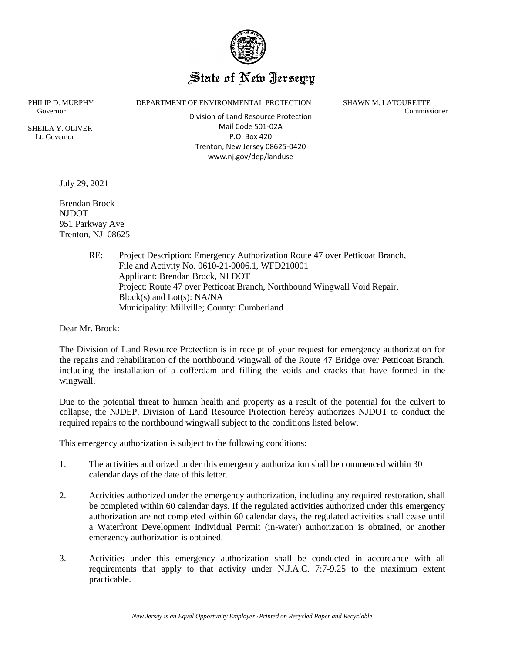

## State of New Ierseyy

SHEILA Y. OLIVER Lt. Governor

 Governor Commissioner Division of Land Resource Protection Mail Code 501-02A P.O. Box 420 Trenton, New Jersey 08625-0420 www.nj.gov/dep/landuse

PHILIP D. MURPHY DEPARTMENT OF ENVIRONMENTAL PROTECTION SHAWN M. LATOURETTE

July 29, 2021

Brendan Brock NJDOT 951 Parkway Ave Trenton, NJ 08625

> RE: Project Description: Emergency Authorization Route 47 over Petticoat Branch, File and Activity No. 0610-21-0006.1, WFD210001 Applicant: Brendan Brock, NJ DOT Project: Route 47 over Petticoat Branch, Northbound Wingwall Void Repair. Block(s) and Lot(s): NA/NA Municipality: Millville; County: Cumberland

Dear Mr. Brock:

The Division of Land Resource Protection is in receipt of your request for emergency authorization for the repairs and rehabilitation of the northbound wingwall of the Route 47 Bridge over Petticoat Branch, including the installation of a cofferdam and filling the voids and cracks that have formed in the wingwall.

Due to the potential threat to human health and property as a result of the potential for the culvert to collapse, the NJDEP, Division of Land Resource Protection hereby authorizes NJDOT to conduct the required repairs to the northbound wingwall subject to the conditions listed below.

This emergency authorization is subject to the following conditions:

- 1. The activities authorized under this emergency authorization shall be commenced within 30 calendar days of the date of this letter.
- 2. Activities authorized under the emergency authorization, including any required restoration, shall be completed within 60 calendar days. If the regulated activities authorized under this emergency authorization are not completed within 60 calendar days, the regulated activities shall cease until a Waterfront Development Individual Permit (in-water) authorization is obtained, or another emergency authorization is obtained.
- 3. Activities under this emergency authorization shall be conducted in accordance with all requirements that apply to that activity under N.J.A.C. 7:7-9.25 to the maximum extent practicable.